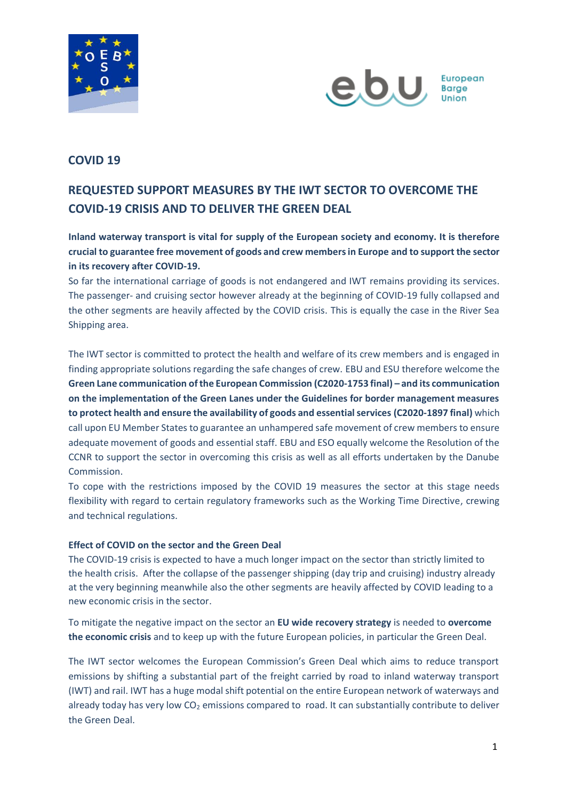



# **COVID 19**

# **REQUESTED SUPPORT MEASURES BY THE IWT SECTOR TO OVERCOME THE COVID-19 CRISIS AND TO DELIVER THE GREEN DEAL**

# **Inland waterway transport is vital for supply of the European society and economy. It is therefore crucial to guarantee free movement of goods and crew members in Europe and to support the sector in its recovery after COVID-19.**

So far the international carriage of goods is not endangered and IWT remains providing its services. The passenger- and cruising sector however already at the beginning of COVID-19 fully collapsed and the other segments are heavily affected by the COVID crisis. This is equally the case in the River Sea Shipping area.

The IWT sector is committed to protect the health and welfare of its crew members and is engaged in finding appropriate solutions regarding the safe changes of crew. EBU and ESU therefore welcome the **Green Lane communication of the European Commission (C2020-1753 final) – and its communication on the implementation of the Green Lanes under the Guidelines for border management measures to protect health and ensure the availability of goods and essential services (C2020-1897 final)** which call upon EU Member States to guarantee an unhampered safe movement of crew members to ensure adequate movement of goods and essential staff. EBU and ESO equally welcome the Resolution of the CCNR to support the sector in overcoming this crisis as well as all efforts undertaken by the Danube Commission.

To cope with the restrictions imposed by the COVID 19 measures the sector at this stage needs flexibility with regard to certain regulatory frameworks such as the Working Time Directive, crewing and technical regulations.

## **Effect of COVID on the sector and the Green Deal**

The COVID-19 crisis is expected to have a much longer impact on the sector than strictly limited to the health crisis. After the collapse of the passenger shipping (day trip and cruising) industry already at the very beginning meanwhile also the other segments are heavily affected by COVID leading to a new economic crisis in the sector.

To mitigate the negative impact on the sector an **EU wide recovery strategy** is needed to **overcome the economic crisis** and to keep up with the future European policies, in particular the Green Deal.

The IWT sector welcomes the European Commission's Green Deal which aims to reduce transport emissions by shifting a substantial part of the freight carried by road to inland waterway transport (IWT) and rail. IWT has a huge modal shift potential on the entire European network of waterways and already today has very low  $CO<sub>2</sub>$  emissions compared to road. It can substantially contribute to deliver the Green Deal.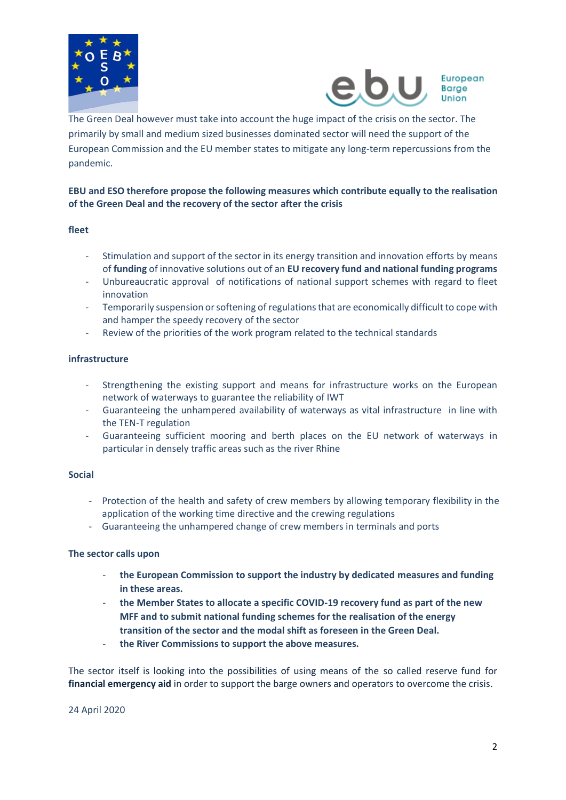



The Green Deal however must take into account the huge impact of the crisis on the sector. The primarily by small and medium sized businesses dominated sector will need the support of the European Commission and the EU member states to mitigate any long-term repercussions from the pandemic.

## **EBU and ESO therefore propose the following measures which contribute equally to the realisation of the Green Deal and the recovery of the sector after the crisis**

#### **fleet**

- Stimulation and support of the sector in its energy transition and innovation efforts by means of **funding** of innovative solutions out of an **EU recovery fund and national funding programs**
- Unbureaucratic approval of notifications of national support schemes with regard to fleet innovation
- Temporarily suspension or softening of regulations that are economically difficult to cope with and hamper the speedy recovery of the sector
- Review of the priorities of the work program related to the technical standards

### **infrastructure**

- Strengthening the existing support and means for infrastructure works on the European network of waterways to guarantee the reliability of IWT
- Guaranteeing the unhampered availability of waterways as vital infrastructure in line with the TEN-T regulation
- Guaranteeing sufficient mooring and berth places on the EU network of waterways in particular in densely traffic areas such as the river Rhine

#### **Social**

- Protection of the health and safety of crew members by allowing temporary flexibility in the application of the working time directive and the crewing regulations
- Guaranteeing the unhampered change of crew members in terminals and ports

#### **The sector calls upon**

- **the European Commission to support the industry by dedicated measures and funding in these areas.**
- **the Member States to allocate a specific COVID-19 recovery fund as part of the new MFF and to submit national funding schemes for the realisation of the energy transition of the sector and the modal shift as foreseen in the Green Deal.**
- **the River Commissions to support the above measures.**

The sector itself is looking into the possibilities of using means of the so called reserve fund for **financial emergency aid** in order to support the barge owners and operators to overcome the crisis.

24 April 2020